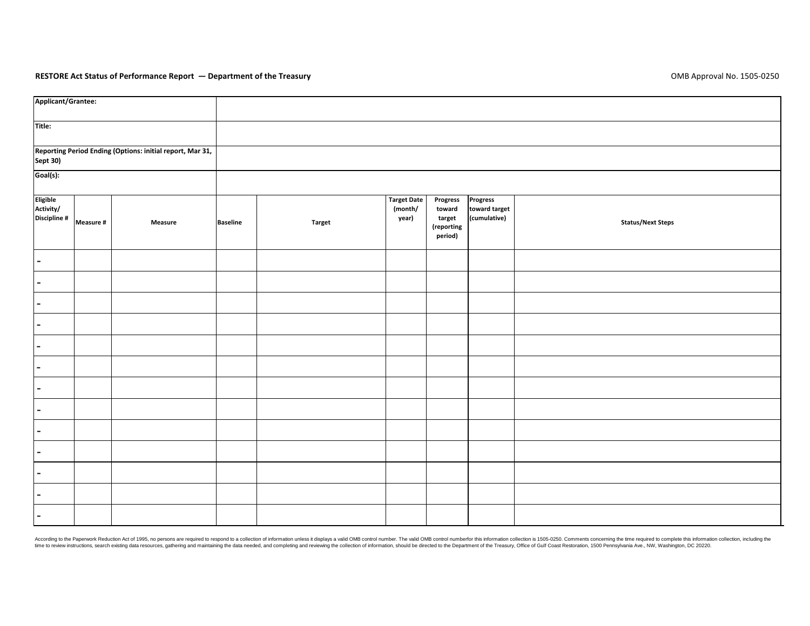## **RESTORE Act Status of Performance Report — Department of the Treasury** OMB Approval No. 1505‐0250

| Applicant/Grantee:                                                           |           |                |                 |               |                                        |                                                                                                                                       |                                           |                          |  |  |  |
|------------------------------------------------------------------------------|-----------|----------------|-----------------|---------------|----------------------------------------|---------------------------------------------------------------------------------------------------------------------------------------|-------------------------------------------|--------------------------|--|--|--|
| Title:                                                                       |           |                |                 |               |                                        |                                                                                                                                       |                                           |                          |  |  |  |
| Reporting Period Ending (Options: initial report, Mar 31,<br><b>Sept 30)</b> |           |                |                 |               |                                        |                                                                                                                                       |                                           |                          |  |  |  |
| Goal(s):                                                                     |           |                |                 |               |                                        |                                                                                                                                       |                                           |                          |  |  |  |
| Eligible<br>Activity/<br>Discipline #                                        | Measure # | <b>Measure</b> | <b>Baseline</b> | <b>Target</b> | <b>Target Date</b><br>(month/<br>year) | Progress<br>toward<br>target<br>(reporting $% \left\vert \left( \mathbf{r},\mathbf{r},\mathbf{r}_{1}\right) \right\rangle$<br>period) | Progress<br>toward target<br>(cumulative) | <b>Status/Next Steps</b> |  |  |  |
| $\blacksquare$                                                               |           |                |                 |               |                                        |                                                                                                                                       |                                           |                          |  |  |  |
| $\blacksquare$                                                               |           |                |                 |               |                                        |                                                                                                                                       |                                           |                          |  |  |  |
| $\blacksquare$                                                               |           |                |                 |               |                                        |                                                                                                                                       |                                           |                          |  |  |  |
| $\blacksquare$                                                               |           |                |                 |               |                                        |                                                                                                                                       |                                           |                          |  |  |  |
| $\blacksquare$                                                               |           |                |                 |               |                                        |                                                                                                                                       |                                           |                          |  |  |  |
|                                                                              |           |                |                 |               |                                        |                                                                                                                                       |                                           |                          |  |  |  |
| $\blacksquare$                                                               |           |                |                 |               |                                        |                                                                                                                                       |                                           |                          |  |  |  |
| $\blacksquare$                                                               |           |                |                 |               |                                        |                                                                                                                                       |                                           |                          |  |  |  |
| $\blacksquare$                                                               |           |                |                 |               |                                        |                                                                                                                                       |                                           |                          |  |  |  |
| -                                                                            |           |                |                 |               |                                        |                                                                                                                                       |                                           |                          |  |  |  |
| $\blacksquare$                                                               |           |                |                 |               |                                        |                                                                                                                                       |                                           |                          |  |  |  |
|                                                                              |           |                |                 |               |                                        |                                                                                                                                       |                                           |                          |  |  |  |
| $\blacksquare$                                                               |           |                |                 |               |                                        |                                                                                                                                       |                                           |                          |  |  |  |

According to the Paperwork Reduction Act of 1995, no persons are required to respond to a collection of information unless it displays a valid OMB control number. The valid OMB control numberfor this information collection